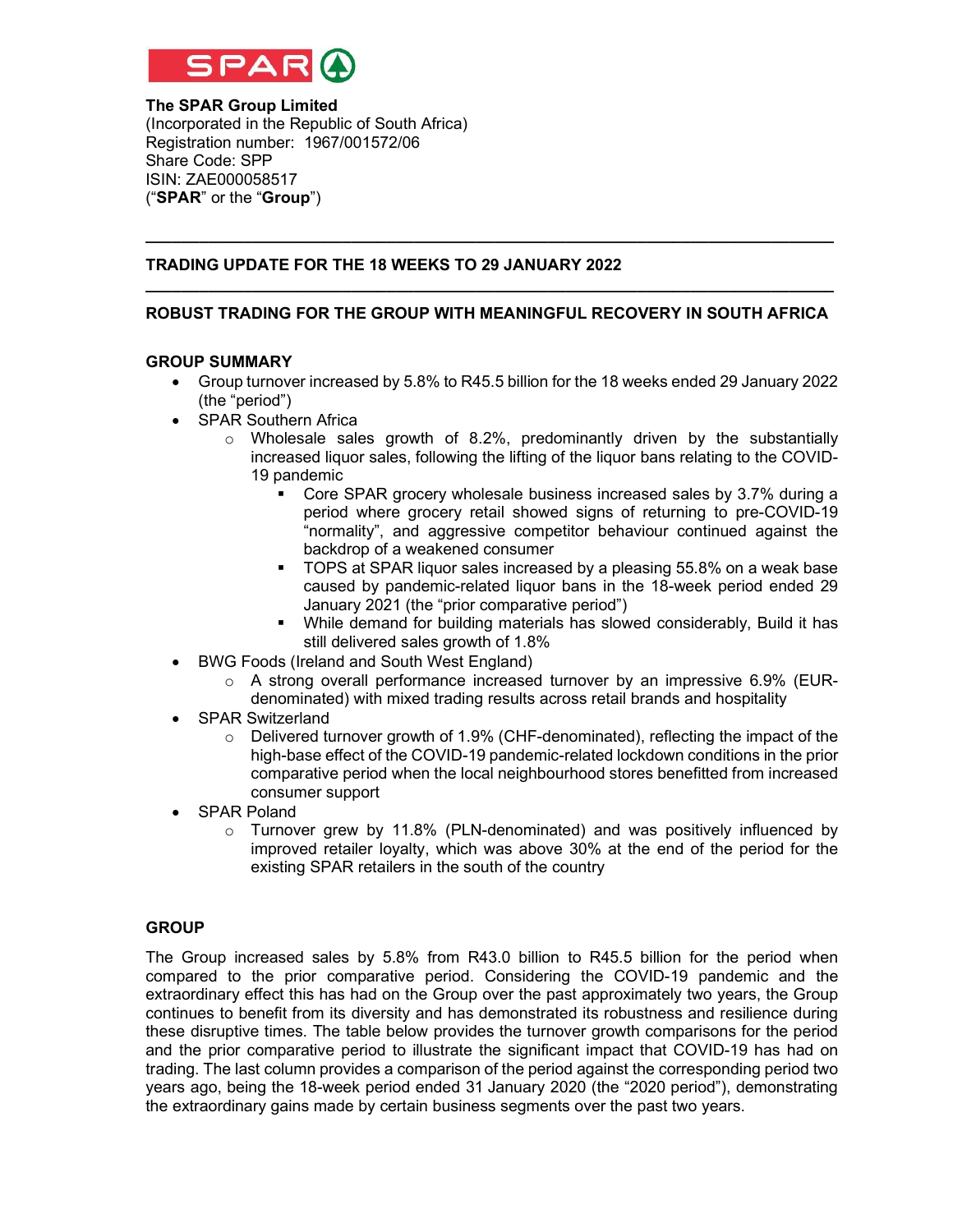

### The SPAR Group Limited (Incorporated in the Republic of South Africa) Registration number: 1967/001572/06 Share Code: SPP ISIN: ZAE000058517 ("SPAR" or the "Group")

## TRADING UPDATE FOR THE 18 WEEKS TO 29 JANUARY 2022

# \_\_\_\_\_\_\_\_\_\_\_\_\_\_\_\_\_\_\_\_\_\_\_\_\_\_\_\_\_\_\_\_\_\_\_\_\_\_\_\_\_\_\_\_\_\_\_\_\_\_\_\_\_\_\_\_\_\_\_\_\_\_\_\_\_\_\_\_\_\_\_\_\_\_\_\_\_ ROBUST TRADING FOR THE GROUP WITH MEANINGFUL RECOVERY IN SOUTH AFRICA

 $\_$  , and the set of the set of the set of the set of the set of the set of the set of the set of the set of the set of the set of the set of the set of the set of the set of the set of the set of the set of the set of th

#### GROUP SUMMARY

- Group turnover increased by 5.8% to R45.5 billion for the 18 weeks ended 29 January 2022 (the "period")
- SPAR Southern Africa
	- $\circ$  Wholesale sales growth of 8.2%, predominantly driven by the substantially increased liquor sales, following the lifting of the liquor bans relating to the COVID-19 pandemic
		- Core SPAR grocery wholesale business increased sales by 3.7% during a period where grocery retail showed signs of returning to pre-COVID-19 "normality", and aggressive competitor behaviour continued against the backdrop of a weakened consumer
		- TOPS at SPAR liquor sales increased by a pleasing 55.8% on a weak base caused by pandemic-related liquor bans in the 18-week period ended 29 January 2021 (the "prior comparative period")
		- While demand for building materials has slowed considerably, Build it has still delivered sales growth of 1.8%
- BWG Foods (Ireland and South West England)
	- $\circ$  A strong overall performance increased turnover by an impressive 6.9% (EURdenominated) with mixed trading results across retail brands and hospitality
- SPAR Switzerland
	- $\circ$  Delivered turnover growth of 1.9% (CHF-denominated), reflecting the impact of the high-base effect of the COVID-19 pandemic-related lockdown conditions in the prior comparative period when the local neighbourhood stores benefitted from increased consumer support
- SPAR Poland
	- $\circ$  Turnover grew by 11.8% (PLN-denominated) and was positively influenced by improved retailer loyalty, which was above 30% at the end of the period for the existing SPAR retailers in the south of the country

#### **GROUP**

The Group increased sales by 5.8% from R43.0 billion to R45.5 billion for the period when compared to the prior comparative period. Considering the COVID-19 pandemic and the extraordinary effect this has had on the Group over the past approximately two years, the Group continues to benefit from its diversity and has demonstrated its robustness and resilience during these disruptive times. The table below provides the turnover growth comparisons for the period and the prior comparative period to illustrate the significant impact that COVID-19 has had on trading. The last column provides a comparison of the period against the corresponding period two years ago, being the 18-week period ended 31 January 2020 (the "2020 period"), demonstrating the extraordinary gains made by certain business segments over the past two years.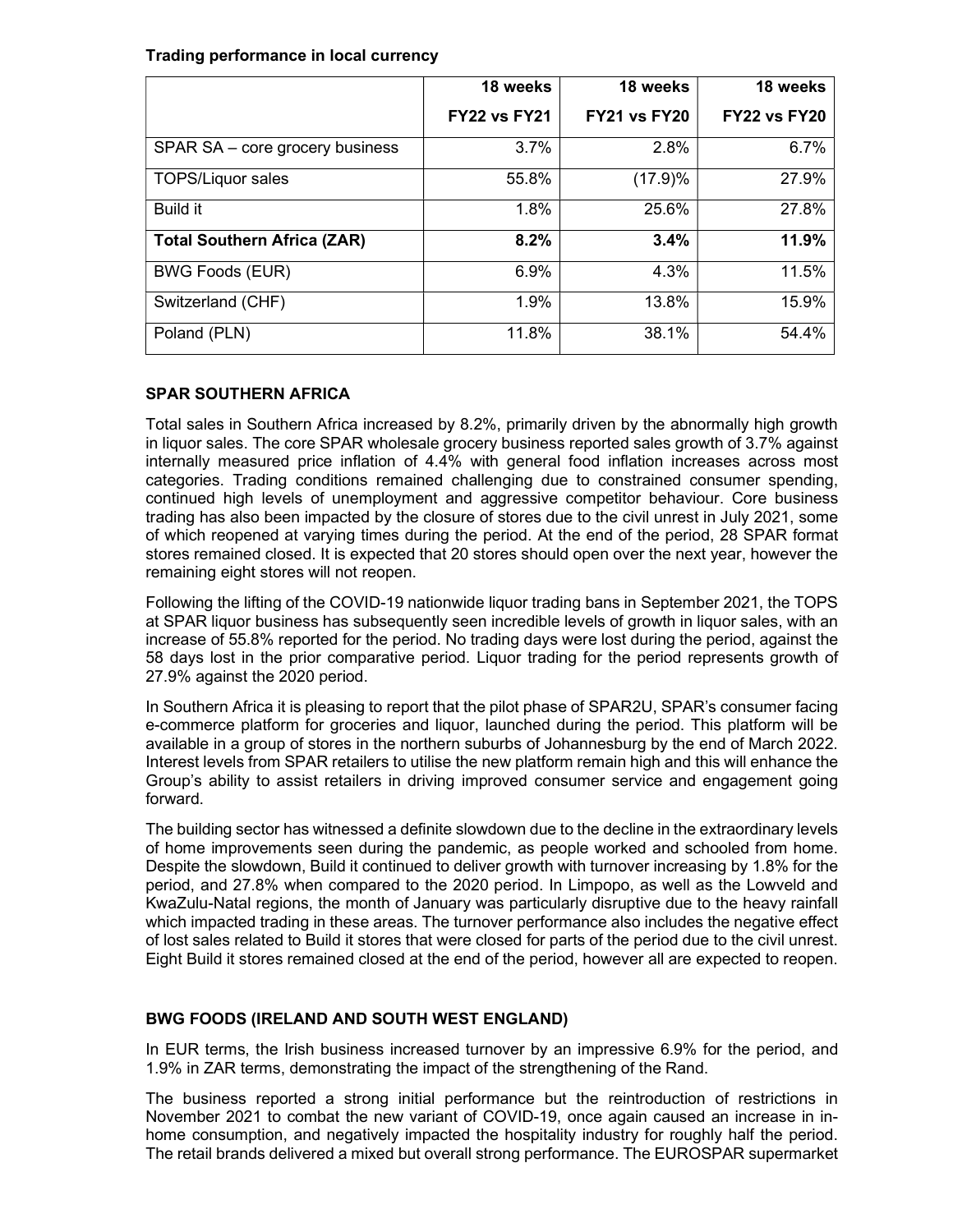### Trading performance in local currency

|                                    | 18 weeks            | 18 weeks            | 18 weeks            |
|------------------------------------|---------------------|---------------------|---------------------|
|                                    | <b>FY22 vs FY21</b> | <b>FY21 vs FY20</b> | <b>FY22 vs FY20</b> |
| SPAR SA - core grocery business    | 3.7%                | 2.8%                | 6.7%                |
| <b>TOPS/Liquor sales</b>           | 55.8%               | (17.9)%             | 27.9%               |
| <b>Build it</b>                    | 1.8%                | 25.6%               | 27.8%               |
| <b>Total Southern Africa (ZAR)</b> | 8.2%                | 3.4%                | 11.9%               |
| <b>BWG Foods (EUR)</b>             | 6.9%                | 4.3%                | 11.5%               |
| Switzerland (CHF)                  | 1.9%                | 13.8%               | 15.9%               |
| Poland (PLN)                       | 11.8%               | 38.1%               | 54.4%               |

# SPAR SOUTHERN AFRICA

Total sales in Southern Africa increased by 8.2%, primarily driven by the abnormally high growth in liquor sales. The core SPAR wholesale grocery business reported sales growth of 3.7% against internally measured price inflation of 4.4% with general food inflation increases across most categories. Trading conditions remained challenging due to constrained consumer spending, continued high levels of unemployment and aggressive competitor behaviour. Core business trading has also been impacted by the closure of stores due to the civil unrest in July 2021, some of which reopened at varying times during the period. At the end of the period, 28 SPAR format stores remained closed. It is expected that 20 stores should open over the next year, however the remaining eight stores will not reopen.

Following the lifting of the COVID-19 nationwide liquor trading bans in September 2021, the TOPS at SPAR liquor business has subsequently seen incredible levels of growth in liquor sales, with an increase of 55.8% reported for the period. No trading days were lost during the period, against the 58 days lost in the prior comparative period. Liquor trading for the period represents growth of 27.9% against the 2020 period.

In Southern Africa it is pleasing to report that the pilot phase of SPAR2U, SPAR's consumer facing e-commerce platform for groceries and liquor, launched during the period. This platform will be available in a group of stores in the northern suburbs of Johannesburg by the end of March 2022. Interest levels from SPAR retailers to utilise the new platform remain high and this will enhance the Group's ability to assist retailers in driving improved consumer service and engagement going forward.

The building sector has witnessed a definite slowdown due to the decline in the extraordinary levels of home improvements seen during the pandemic, as people worked and schooled from home. Despite the slowdown, Build it continued to deliver growth with turnover increasing by 1.8% for the period, and 27.8% when compared to the 2020 period. In Limpopo, as well as the Lowveld and KwaZulu-Natal regions, the month of January was particularly disruptive due to the heavy rainfall which impacted trading in these areas. The turnover performance also includes the negative effect of lost sales related to Build it stores that were closed for parts of the period due to the civil unrest. Eight Build it stores remained closed at the end of the period, however all are expected to reopen.

# BWG FOODS (IRELAND AND SOUTH WEST ENGLAND)

In EUR terms, the Irish business increased turnover by an impressive 6.9% for the period, and 1.9% in ZAR terms, demonstrating the impact of the strengthening of the Rand.

The business reported a strong initial performance but the reintroduction of restrictions in November 2021 to combat the new variant of COVID-19, once again caused an increase in inhome consumption, and negatively impacted the hospitality industry for roughly half the period. The retail brands delivered a mixed but overall strong performance. The EUROSPAR supermarket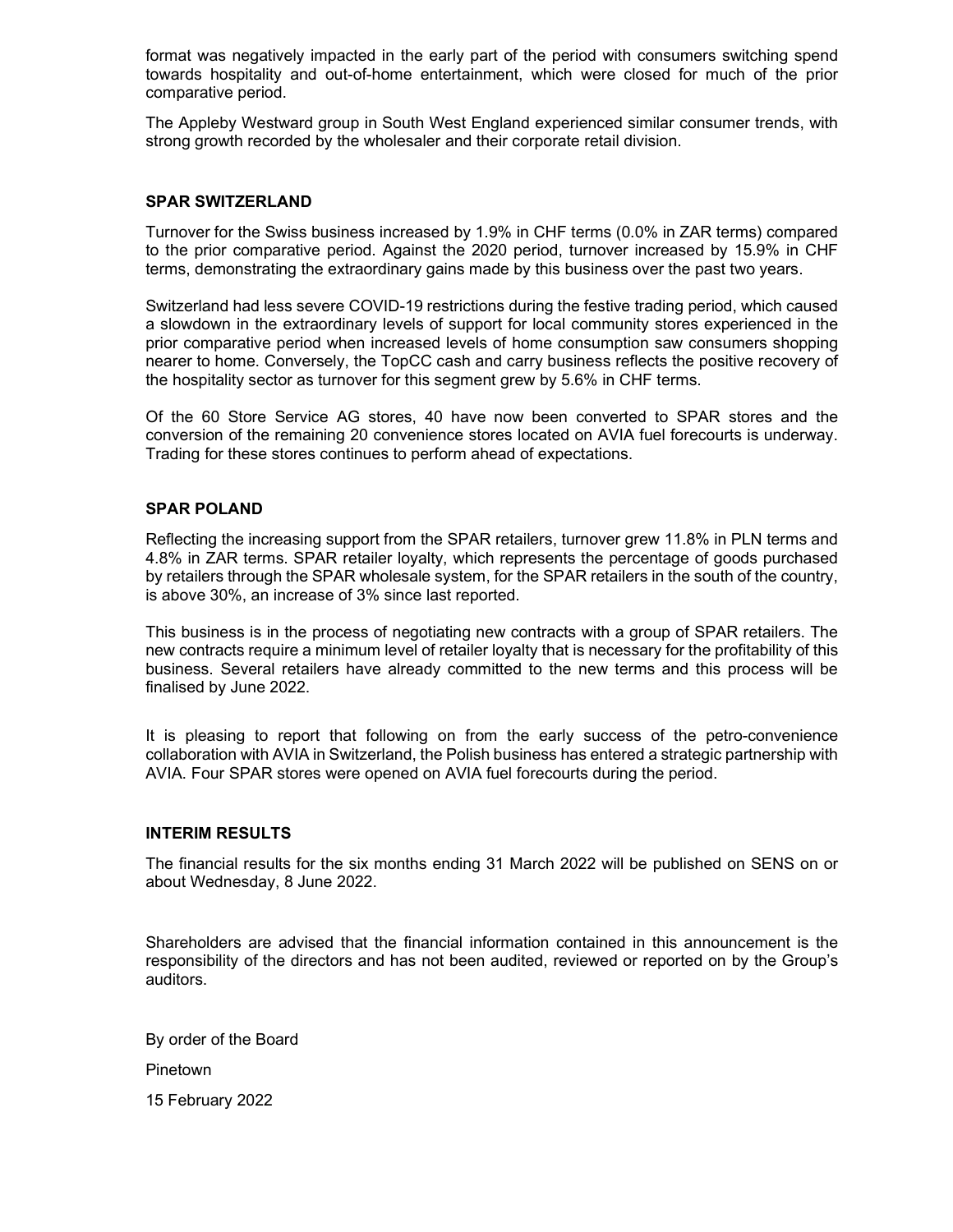format was negatively impacted in the early part of the period with consumers switching spend towards hospitality and out-of-home entertainment, which were closed for much of the prior comparative period.

The Appleby Westward group in South West England experienced similar consumer trends, with strong growth recorded by the wholesaler and their corporate retail division.

### SPAR SWITZERLAND

Turnover for the Swiss business increased by 1.9% in CHF terms (0.0% in ZAR terms) compared to the prior comparative period. Against the 2020 period, turnover increased by 15.9% in CHF terms, demonstrating the extraordinary gains made by this business over the past two years.

Switzerland had less severe COVID-19 restrictions during the festive trading period, which caused a slowdown in the extraordinary levels of support for local community stores experienced in the prior comparative period when increased levels of home consumption saw consumers shopping nearer to home. Conversely, the TopCC cash and carry business reflects the positive recovery of the hospitality sector as turnover for this segment grew by 5.6% in CHF terms.

Of the 60 Store Service AG stores, 40 have now been converted to SPAR stores and the conversion of the remaining 20 convenience stores located on AVIA fuel forecourts is underway. Trading for these stores continues to perform ahead of expectations.

### SPAR POLAND

Reflecting the increasing support from the SPAR retailers, turnover grew 11.8% in PLN terms and 4.8% in ZAR terms. SPAR retailer loyalty, which represents the percentage of goods purchased by retailers through the SPAR wholesale system, for the SPAR retailers in the south of the country, is above 30%, an increase of 3% since last reported.

This business is in the process of negotiating new contracts with a group of SPAR retailers. The new contracts require a minimum level of retailer loyalty that is necessary for the profitability of this business. Several retailers have already committed to the new terms and this process will be finalised by June 2022.

It is pleasing to report that following on from the early success of the petro-convenience collaboration with AVIA in Switzerland, the Polish business has entered a strategic partnership with AVIA. Four SPAR stores were opened on AVIA fuel forecourts during the period.

#### INTERIM RESULTS

The financial results for the six months ending 31 March 2022 will be published on SENS on or about Wednesday, 8 June 2022.

Shareholders are advised that the financial information contained in this announcement is the responsibility of the directors and has not been audited, reviewed or reported on by the Group's auditors.

By order of the Board

Pinetown

15 February 2022